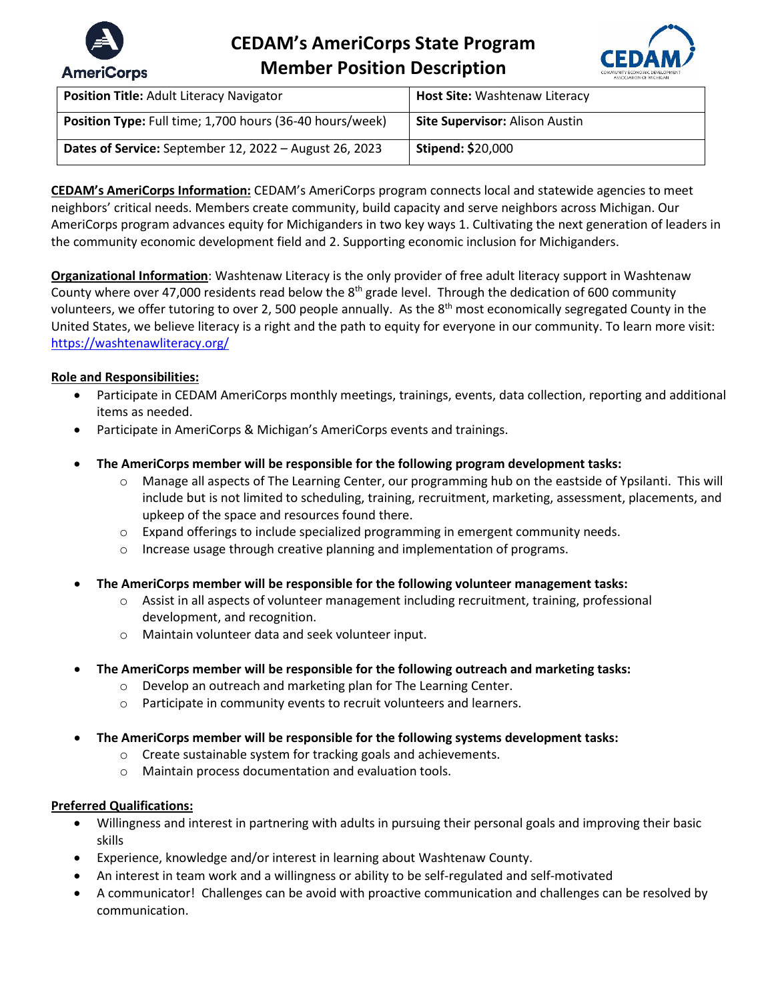

# **CEDAM's AmeriCorps State Program Member Position Description**



| Position Title: Adult Literacy Navigator                 | Host Site: Washtenaw Literacy         |
|----------------------------------------------------------|---------------------------------------|
| Position Type: Full time; 1,700 hours (36-40 hours/week) | <b>Site Supervisor: Alison Austin</b> |
| Dates of Service: September 12, 2022 - August 26, 2023   | <b>Stipend: \$20,000</b>              |

**CEDAM's AmeriCorps Information:** CEDAM's AmeriCorps program connects local and statewide agencies to meet neighbors' critical needs. Members create community, build capacity and serve neighbors across Michigan. Our AmeriCorps program advances equity for Michiganders in two key ways 1. Cultivating the next generation of leaders in the community economic development field and 2. Supporting economic inclusion for Michiganders.

**Organizational Information**: Washtenaw Literacy is the only provider of free adult literacy support in Washtenaw County where over 47,000 residents read below the 8<sup>th</sup> grade level. Through the dedication of 600 community volunteers, we offer tutoring to over 2, 500 people annually. As the 8<sup>th</sup> most economically segregated County in the United States, we believe literacy is a right and the path to equity for everyone in our community. To learn more visit: <https://washtenawliteracy.org/>

## **Role and Responsibilities:**

- Participate in CEDAM AmeriCorps monthly meetings, trainings, events, data collection, reporting and additional items as needed.
- Participate in AmeriCorps & Michigan's AmeriCorps events and trainings.
- **The AmeriCorps member will be responsible for the following program development tasks:**
	- o Manage all aspects of The Learning Center, our programming hub on the eastside of Ypsilanti. This will include but is not limited to scheduling, training, recruitment, marketing, assessment, placements, and upkeep of the space and resources found there.
	- $\circ$  Expand offerings to include specialized programming in emergent community needs.
	- o Increase usage through creative planning and implementation of programs.
- **The AmeriCorps member will be responsible for the following volunteer management tasks:**
	- o Assist in all aspects of volunteer management including recruitment, training, professional development, and recognition.
	- o Maintain volunteer data and seek volunteer input.
- **The AmeriCorps member will be responsible for the following outreach and marketing tasks:**
	- o Develop an outreach and marketing plan for The Learning Center.
	- o Participate in community events to recruit volunteers and learners.
- **The AmeriCorps member will be responsible for the following systems development tasks:** 
	- o Create sustainable system for tracking goals and achievements.
	- o Maintain process documentation and evaluation tools.

## **Preferred Qualifications:**

- Willingness and interest in partnering with adults in pursuing their personal goals and improving their basic skills
- Experience, knowledge and/or interest in learning about Washtenaw County.
- An interest in team work and a willingness or ability to be self-regulated and self-motivated
- A communicator! Challenges can be avoid with proactive communication and challenges can be resolved by communication.